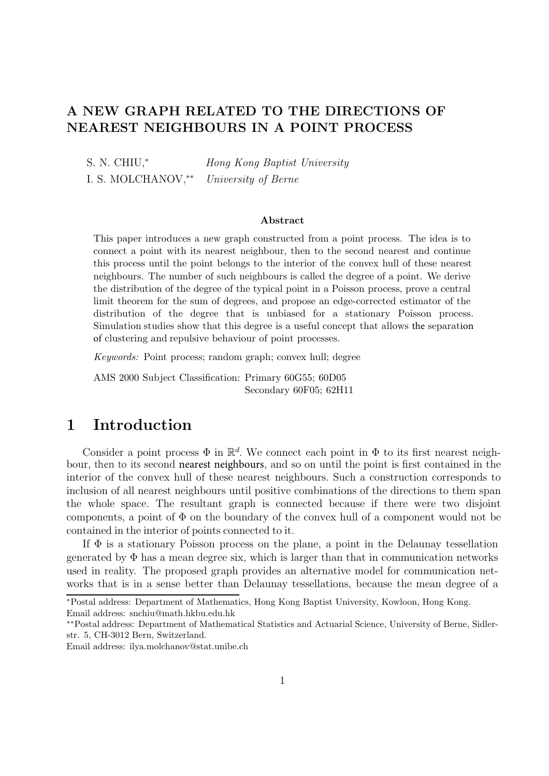## **A NEW GRAPH RELATED TO THE DIRECTIONS OF NEAREST NEIGHBOURS IN A POINT PROCESS**

S. N. CHIU,<sup>∗</sup> *Hong Kong Baptist University* I. S. MOLCHANOV,∗∗ *University of Berne*

#### **Abstract**

This paper introduces a new graph constructed from a point process. The idea is to connect a point with its nearest neighbour, then to the second nearest and continue this process until the point belongs to the interior of the convex hull of these nearest neighbours. The number of such neighbours is called the degree of a point. We derive the distribution of the degree of the typical point in a Poisson process, prove a central limit theorem for the sum of degrees, and propose an edge-corrected estimator of the distribution of the degree that is unbiased for a stationary Poisson process. Simulation studies show that this degree is a useful concept that allows the separation of clustering and repulsive behaviour of point processes.

*Keywords:* Point process; random graph; convex hull; degree

AMS 2000 Subject Classification: Primary 60G55; 60D05 Secondary 60F05; 62H11

# **1 Introduction**

Consider a point process  $\Phi$  in  $\mathbb{R}^d$ . We connect each point in  $\Phi$  to its first nearest neighbour, then to its second nearest neighbours, and so on until the point is first contained in the interior of the convex hull of these nearest neighbours. Such a construction corresponds to inclusion of all nearest neighbours until positive combinations of the directions to them span the whole space. The resultant graph is connected because if there were two disjoint components, a point of  $\Phi$  on the boundary of the convex hull of a component would not be contained in the interior of points connected to it.

If Φ is a stationary Poisson process on the plane, a point in the Delaunay tessellation generated by  $\Phi$  has a mean degree six, which is larger than that in communication networks used in reality. The proposed graph provides an alternative model for communication networks that is in a sense better than Delaunay tessellations, because the mean degree of a

<sup>∗</sup>Postal address: Department of Mathematics, Hong Kong Baptist University, Kowloon, Hong Kong. Email address: snchiu@math.hkbu.edu.hk

<sup>∗∗</sup>Postal address: Department of Mathematical Statistics and Actuarial Science, University of Berne, Sidlerstr. 5, CH-3012 Bern, Switzerland.

Email address: ilya.molchanov@stat.unibe.ch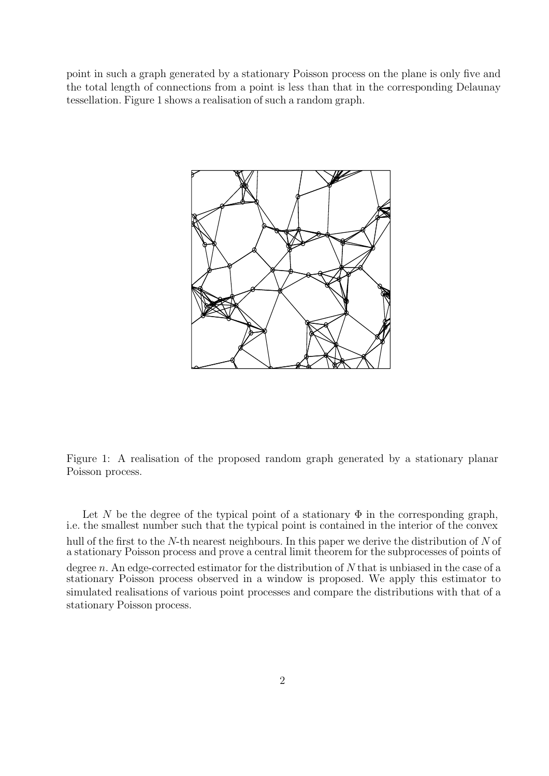point in such a graph generated by a stationary Poisson process on the plane is only five and the total length of connections from a point is less than that in the corresponding Delaunay tessellation. Figure 1 shows a realisation of such a random graph.



Figure 1: A realisation of the proposed random graph generated by a stationary planar Poisson process.

Let N be the degree of the typical point of a stationary  $\Phi$  in the corresponding graph, i.e. the smallest number such that the typical point is contained in the interior of the convex hull of the first to the N-th nearest neighbours. In this paper we derive the distribution of N of a stationary Poisson process and prove a central limit theorem for the subprocesses of points of degree  $n$ . An edge-corrected estimator for the distribution of  $N$  that is unbiased in the case of a stationary Poisson process observed in a window is proposed. We apply this estimator to simulated realisations of various point processes and compare the distributions with that of a stationary Poisson process.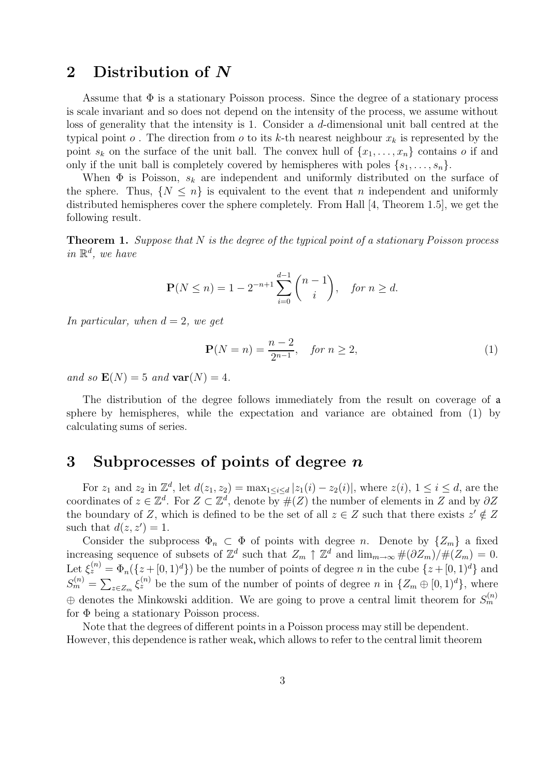# **2 Distribution of** *N*

Assume that  $\Phi$  is a stationary Poisson process. Since the degree of a stationary process is scale invariant and so does not depend on the intensity of the process, we assume without loss of generality that the intensity is 1. Consider a d-dimensional unit ball centred at the typical point  $o$ . The direction from  $o$  to its k-th nearest neighbour  $x_k$  is represented by the point  $s_k$  on the surface of the unit ball. The convex hull of  $\{x_1,\ldots,x_n\}$  contains o if and only if the unit ball is completely covered by hemispheres with poles  $\{s_1, \ldots, s_n\}$ .

When  $\Phi$  is Poisson,  $s_k$  are independent and uniformly distributed on the surface of the sphere. Thus,  $\{N \leq n\}$  is equivalent to the event that n independent and uniformly distributed hemispheres cover the sphere completely. From Hall [4, Theorem 1.5], we get the following result.

**Theorem 1.** *Suppose that* N *is the degree of the typical point of a stationary Poisson process*  $in \mathbb{R}^d$ *, we have* 

$$
\mathbf{P}(N \le n) = 1 - 2^{-n+1} \sum_{i=0}^{d-1} {n-1 \choose i}, \quad \text{for } n \ge d.
$$

*In particular, when*  $d = 2$ *, we get* 

$$
\mathbf{P}(N=n) = \frac{n-2}{2^{n-1}}, \quad \text{for } n \ge 2,
$$
 (1)

*and so*  $\mathbf{E}(N)=5$  *and*  $\mathbf{var}(N)=4$ *.* 

The distribution of the degree follows immediately from the result on coverage of a sphere by hemispheres, while the expectation and variance are obtained from (1) by calculating sums of series.

## **3 Subprocesses of points of degree** *n*

For  $z_1$  and  $z_2$  in  $\mathbb{Z}^d$ , let  $d(z_1, z_2) = \max_{1 \le i \le d} |z_1(i) - z_2(i)|$ , where  $z(i)$ ,  $1 \le i \le d$ , are the coordinates of  $z \in \mathbb{Z}^d$ . For  $Z \subset \mathbb{Z}^d$ , denote by  $\#(Z)$  the number of elements in Z and by  $\partial Z$ the boundary of Z, which is defined to be the set of all  $z \in Z$  such that there exists  $z' \notin Z$ such that  $d(z, z') = 1$ .

Consider the subprocess  $\Phi_n \subset \Phi$  of points with degree n. Denote by  $\{Z_m\}$  a fixed increasing sequence of subsets of  $\mathbb{Z}^d$  such that  $Z_m \uparrow \mathbb{Z}^d$  and  $\lim_{m\to\infty} \#(\partial Z_m)/\#(Z_m) = 0$ . Let  $\xi_z^{(n)} = \Phi_n(\{z + [0, 1)^d\})$  be the number of points of degree n in the cube  $\{z + [0, 1)^d\}$  and  $S_m^{(n)} = \sum_{z \in Z_m} \xi_z^{(n)}$  be the sum of the number of points of degree n in  $\{Z_m \oplus [0,1)^d\}$ , where  $\oplus$  denotes the Minkowski addition. We are going to prove a central limit theorem for  $S_m^{(n)}$ for Φ being a stationary Poisson process.

Note that the degrees of different points in a Poisson process may still be dependent. However, this dependence is rather weak, which allows to refer to the central limit theorem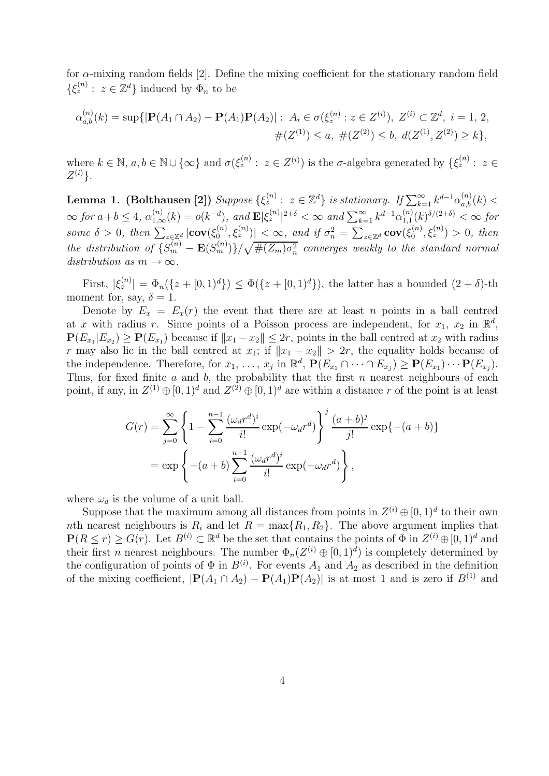for  $\alpha$ -mixing random fields [2]. Define the mixing coefficient for the stationary random field  $\{\xi_z^{(n)}: z \in \mathbb{Z}^d\}$  induced by  $\Phi_n$  to be

$$
\alpha_{a,b}^{(n)}(k) = \sup\{|\mathbf{P}(A_1 \cap A_2) - \mathbf{P}(A_1)\mathbf{P}(A_2)| : A_i \in \sigma(\xi_z^{(n)} : z \in Z^{(i)}), Z^{(i)} \subset \mathbb{Z}^d, i = 1, 2, \#(Z^{(1)}) \le a, \#(Z^{(2)}) \le b, d(Z^{(1)}, Z^{(2)}) \ge k\},\
$$

where  $k \in \mathbb{N}, a, b \in \mathbb{N} \cup \{\infty\}$  and  $\sigma(\xi_z^{(n)} : z \in Z^{(i)})$  is the  $\sigma$ -algebra generated by  $\{\xi_z^{(n)} : z \in Z^{(i)}\}$  $Z^{(i)}$ .

**Lemma 1. (Bolthausen [2])**  $Suppose \ \{\xi_z^{(n)}: z \in \mathbb{Z}^d\} \ \textit{is stationary. If} \ \sum_{k=1}^{\infty} k^{d-1} \alpha_{a,b}^{(n)}(k) < \infty \}$  $\infty$  *for*  $a+b \leq 4$ ,  $\alpha_{1,\infty}^{(n)}(k) = o(k^{-d})$ , and  $\mathbf{E}|\xi_z^{(n)}|^{2+\delta} < \infty$  and  $\sum_{k=1}^{\infty} k^{d-1} \alpha_{1,1}^{(n)}(k)^{\delta/(2+\delta)} < \infty$  for  $\text{some } \delta > 0, \text{ then } \sum_{z \in \mathbb{Z}^d} |\text{cov}(\xi_0^{(n)}, \xi_z^{(n)})| < \infty, \text{ and if } \sigma_n^2 = \sum_{z \in \mathbb{Z}^d} \text{cov}(\xi_0^{(n)}, \xi_z^{(n)}) > 0, \text{ then}$ *the distribution of*  $\{S_m^{(n)} - \mathbf{E}(S_m^{(n)})\}/\sqrt{\#(Z_m)\sigma_n^2}$  *converges weakly to the standard normal*  $distribution \ as \ m \rightarrow \infty.$ 

First,  $|\xi_z^{(n)}| = \Phi_n(\{z + [0, 1)^d\}) \leq \Phi(\{z + [0, 1)^d\})$ , the latter has a bounded  $(2 + \delta)$ -th moment for, say,  $\delta = 1$ .

Denote by  $E_x = E_x(r)$  the event that there are at least n points in a ball centred at x with radius r. Since points of a Poisson process are independent, for  $x_1, x_2$  in  $\mathbb{R}^d$ ,  $P(E_{x_1}|E_{x_2}) \ge P(E_{x_1})$  because if  $||x_1 - x_2|| \le 2r$ , points in the ball centred at  $x_2$  with radius r may also lie in the ball centred at  $x_1$ ; if  $||x_1 - x_2|| > 2r$ , the equality holds because of the independence. Therefore, for  $x_1, \ldots, x_j$  in  $\mathbb{R}^d$ ,  $\mathbf{P}(E_{x_1} \cap \cdots \cap E_{x_j}) \geq \mathbf{P}(E_{x_1}) \cdots \mathbf{P}(E_{x_j})$ . Thus, for fixed finite a and b, the probability that the first n nearest neighbours of each point, if any, in  $Z^{(1)} \oplus [0, 1]^d$  and  $Z^{(2)} \oplus [0, 1]^d$  are within a distance r of the point is at least

$$
G(r) = \sum_{j=0}^{\infty} \left\{ 1 - \sum_{i=0}^{n-1} \frac{(\omega_d r^d)^i}{i!} \exp(-\omega_d r^d) \right\}^j \frac{(a+b)^j}{j!} \exp\{-(a+b)\}
$$
  
=  $\exp\left\{ -(a+b) \sum_{i=0}^{n-1} \frac{(\omega_d r^d)^i}{i!} \exp(-\omega_d r^d) \right\},$ 

where  $\omega_d$  is the volume of a unit ball.

Suppose that the maximum among all distances from points in  $Z^{(i)} \oplus [0, 1]^d$  to their own nth nearest neighbours is  $R_i$  and let  $R = \max\{R_1, R_2\}$ . The above argument implies that  $P(R \le r) > G(r)$ . Let  $B^{(i)} \subset \mathbb{R}^d$  be the set that contains the points of  $\Phi$  in  $Z^{(i)} \oplus [0, 1]^d$  and their first *n* nearest neighbours. The number  $\Phi_n(Z^{(i)} \oplus [0,1]^d)$  is completely determined by the configuration of points of  $\Phi$  in  $B^{(i)}$ . For events  $A_1$  and  $A_2$  as described in the definition of the mixing coefficient,  $|\mathbf{P}(A_1 \cap A_2) - \mathbf{P}(A_1)\mathbf{P}(A_2)|$  is at most 1 and is zero if  $B^{(1)}$  and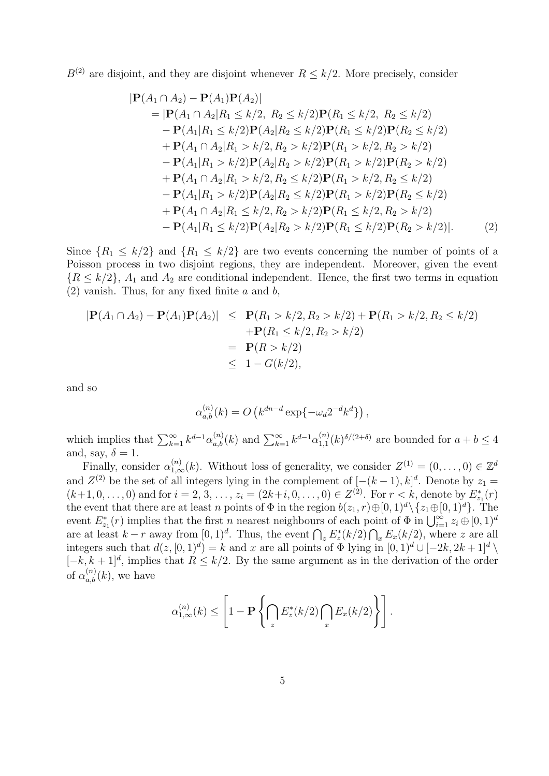$B^{(2)}$  are disjoint, and they are disjoint whenever  $R \leq k/2$ . More precisely, consider

$$
|\mathbf{P}(A_1 \cap A_2) - \mathbf{P}(A_1)\mathbf{P}(A_2)|
$$
  
=  $|\mathbf{P}(A_1 \cap A_2|R_1 \le k/2, R_2 \le k/2)\mathbf{P}(R_1 \le k/2, R_2 \le k/2)$   
-  $\mathbf{P}(A_1|R_1 \le k/2)\mathbf{P}(A_2|R_2 \le k/2)\mathbf{P}(R_1 \le k/2)\mathbf{P}(R_2 \le k/2)$   
+  $\mathbf{P}(A_1 \cap A_2|R_1 > k/2, R_2 > k/2)\mathbf{P}(R_1 > k/2, R_2 > k/2)$   
-  $\mathbf{P}(A_1|R_1 > k/2)\mathbf{P}(A_2|R_2 > k/2)\mathbf{P}(R_1 > k/2)\mathbf{P}(R_2 > k/2)$   
+  $\mathbf{P}(A_1 \cap A_2|R_1 > k/2, R_2 \le k/2)\mathbf{P}(R_1 > k/2, R_2 \le k/2)$   
-  $\mathbf{P}(A_1|R_1 > k/2)\mathbf{P}(A_2|R_2 \le k/2)\mathbf{P}(R_1 > k/2)\mathbf{P}(R_2 \le k/2)$   
+  $\mathbf{P}(A_1 \cap A_2|R_1 \le k/2, R_2 > k/2)\mathbf{P}(R_1 \le k/2, R_2 > k/2)$   
-  $\mathbf{P}(A_1|R_1 \le k/2)\mathbf{P}(A_2|R_2 > k/2)\mathbf{P}(R_1 \le k/2)\mathbf{P}(R_2 > k/2)|.$  (2)

Since  $\{R_1 \leq k/2\}$  and  $\{R_1 \leq k/2\}$  are two events concerning the number of points of a Poisson process in two disjoint regions, they are independent. Moreover, given the event  ${R \le k/2}$ ,  $A_1$  and  $A_2$  are conditional independent. Hence, the first two terms in equation  $(2)$  vanish. Thus, for any fixed finite a and b,

$$
|\mathbf{P}(A_1 \cap A_2) - \mathbf{P}(A_1)\mathbf{P}(A_2)| \leq \mathbf{P}(R_1 > k/2, R_2 > k/2) + \mathbf{P}(R_1 > k/2, R_2 \leq k/2)
$$
  
+ 
$$
\mathbf{P}(R_1 \leq k/2, R_2 > k/2)
$$
  
= 
$$
\mathbf{P}(R > k/2)
$$
  
\$\leq 1 - G(k/2),\$

and so

$$
\alpha_{a,b}^{(n)}(k) = O\left(k^{dn-d}\exp\{-\omega_d 2^{-d}k^d\}\right),\,
$$

which implies that  $\sum_{k=1}^{\infty} k^{d-1} \alpha_{a,b}^{(n)}(k)$  and  $\sum_{k=1}^{\infty} k^{d-1} \alpha_{1,1}^{(n)}(k)^{\delta/(2+\delta)}$  are bounded for  $a+b \leq 4$ and, say,  $\delta = 1$ .

Finally, consider  $\alpha_{1,\infty}^{(n)}(k)$ . Without loss of generality, we consider  $Z^{(1)} = (0,\ldots,0) \in \mathbb{Z}^d$ and  $Z^{(2)}$  be the set of all integers lying in the complement of  $[-(k-1),k]^d$ . Denote by  $z_1 =$  $(k+1, 0, \ldots, 0)$  and for  $i = 2, 3, \ldots, z_i = (2k+i, 0, \ldots, 0) \in Z^{(2)}$ . For  $r < k$ , denote by  $E_{z_1}^*(r)$ the event that there are at least n points of  $\Phi$  in the region  $b(z_1, r) \oplus [0, 1)^d \setminus \{z_1 \oplus [0, 1)^d\}$ . The event  $E_{z_1}^*(r)$  implies that the first n nearest neighbours of each point of  $\Phi$  in  $\bigcup_{i=1}^{\infty} z_i \oplus [0,1]^d$ are at least  $k-r$  away from  $[0,1)^d$ . Thus, the event  $\bigcap_z E_z^*(k/2) \bigcap_x E_x(k/2)$ , where z are all integers such that  $d(z, [0, 1]^d) = k$  and x are all points of  $\Phi$  lying in  $[0, 1]^d \cup [-2k, 2k+1]^d \setminus$  $[-k, k+1]^d$ , implies that  $R \leq k/2$ . By the same argument as in the derivation of the order of  $\alpha_{a,b}^{(n)}(k)$ , we have

$$
\alpha_{1,\infty}^{(n)}(k) \leq \left[1 - \mathbf{P}\left\{\bigcap_{z} E_z^*(k/2)\bigcap_{x} E_x(k/2)\right\}\right].
$$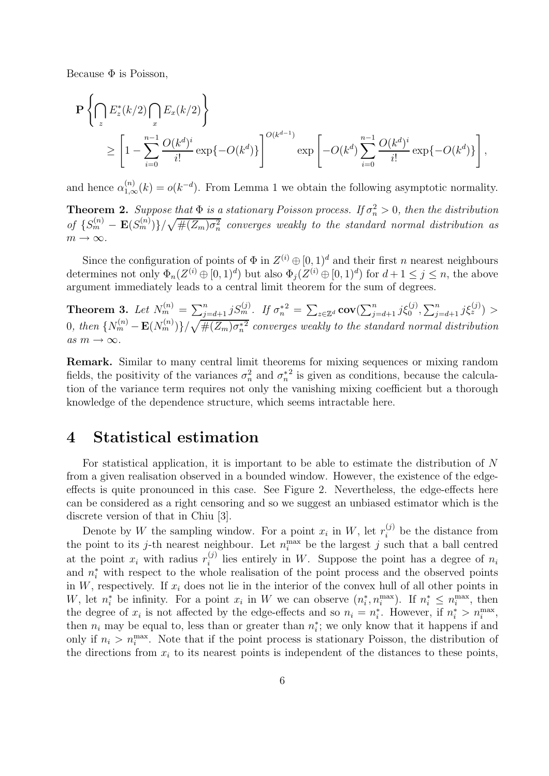Because  $\Phi$  is Poisson,

$$
\mathbf{P}\left\{\bigcap_{z} E_z^*(k/2)\bigcap_{x} E_x(k/2)\right\}
$$
  
\n
$$
\geq \left[1-\sum_{i=0}^{n-1} \frac{O(k^d)^i}{i!} \exp\{-O(k^d)\}\right]^{O(k^{d-1})} \exp\left[-O(k^d)\sum_{i=0}^{n-1} \frac{O(k^d)^i}{i!} \exp\{-O(k^d)\}\right],
$$

and hence  $\alpha_{1,\infty}^{(n)}(k) = o(k^{-d})$ . From Lemma 1 we obtain the following asymptotic normality.

**Theorem 2.** Suppose that  $\Phi$  is a stationary Poisson process. If  $\sigma_n^2 > 0$ , then the distribution of  $\{S_m^{(n)} - \mathbf{E}(S_m^{(n)})\}/\sqrt{\#(Z_m)\sigma_n^2}$  converges weakly to the standard normal distribution as  $m \rightarrow \infty$ .

Since the configuration of points of  $\Phi$  in  $Z^{(i)} \oplus [0, 1]^d$  and their first n nearest neighbours determines not only  $\Phi_n(Z^{(i)} \oplus [0,1]^d)$  but also  $\Phi_j(Z^{(i)} \oplus [0,1]^d)$  for  $d+1 \leq j \leq n$ , the above argument immediately leads to a central limit theorem for the sum of degrees.

**Theorem 3.** Let  $N_m^{(n)} = \sum_{j=d+1}^n j S_m^{(j)}$ . If  $\sigma_n^{*2} = \sum_{z \in \mathbb{Z}^d} \text{cov}(\sum_{j=d+1}^n j \xi_0^{(j)}, \sum_{j=d+1}^n j \xi_z^{(j)}) >$  $0,$  then  ${N_m^{(n)} - \mathbf{E}(N_m^{(n)})}\}/\sqrt{\#(Z_m)\sigma_n^{*2}}$  converges weakly to the standard normal distribution  $as m \rightarrow \infty$ .

**Remark.** Similar to many central limit theorems for mixing sequences or mixing random fields, the positivity of the variances  $\sigma_n^2$  and  $\sigma_n^{*2}$  is given as conditions, because the calculation of the variance term requires not only the vanishing mixing coefficient but a thorough knowledge of the dependence structure, which seems intractable here.

### **4 Statistical estimation**

For statistical application, it is important to be able to estimate the distribution of N from a given realisation observed in a bounded window. However, the existence of the edgeeffects is quite pronounced in this case. See Figure 2. Nevertheless, the edge-effects here can be considered as a right censoring and so we suggest an unbiased estimator which is the discrete version of that in Chiu [3].

Denote by W the sampling window. For a point  $x_i$  in W, let  $r_i^{(j)}$  be the distance from the point to its j-th nearest neighbour. Let  $n_i^{\max}$  be the largest j such that a ball centred at the point  $x_i$  with radius  $r_i^{(j)}$  lies entirely in W. Suppose the point has a degree of  $n_i$ and  $n_i^*$  with respect to the whole realisation of the point process and the observed points in  $W$ , respectively. If  $x_i$  does not lie in the interior of the convex hull of all other points in W, let  $n_i^*$  be infinity. For a point  $x_i$  in W we can observe  $(n_i^*, n_i^{\max})$ . If  $n_i^* \leq n_i^{\max}$ , then the degree of  $x_i$  is not affected by the edge-effects and so  $n_i = n_i^*$ . However, if  $n_i^* > n_i^{\max}$ , then  $n_i$  may be equal to, less than or greater than  $n_i^*$ ; we only know that it happens if and only if  $n_i > n_i^{\text{max}}$ . Note that if the point process is stationary Poisson, the distribution of the directions from  $x_i$  to its nearest points is independent of the distances to these points,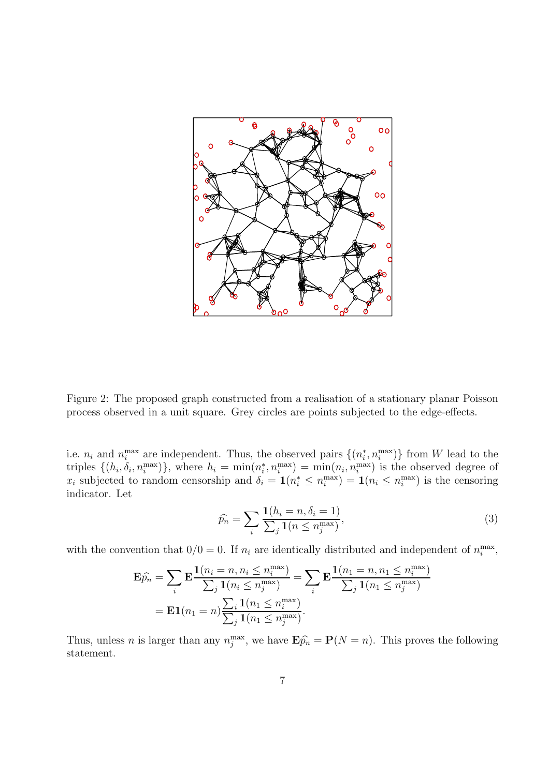

Figure 2: The proposed graph constructed from a realisation of a stationary planar Poisson process observed in a unit square. Grey circles are points subjected to the edge-effects.

i.e.  $n_i$  and  $n_i^{\max}$  are independent. Thus, the observed pairs  $\{(n_i^*, n_i^{\max})\}$  from W lead to the triples  $\{(h_i, \delta_i, n_i^{\max})\}\$ , where  $h_i = \min(n_i, n_i^{\max}) = \min(n_i, n_i^{\max})$  is the observed degree of  $x_i$  subjected to random censorship and  $\delta_i = \mathbf{1}(n_i^* \le n_i^{\max}) = \mathbf{1}(n_i \le n_i^{\max})$  is the censoring indicator. Let

$$
\widehat{p}_n = \sum_i \frac{\mathbf{1}(h_i = n, \delta_i = 1)}{\sum_j \mathbf{1}(n \le n_j^{\max})},\tag{3}
$$

with the convention that  $0/0 = 0$ . If  $n_i$  are identically distributed and independent of  $n_i^{\text{max}}$ ,

$$
\mathbf{E}\widehat{p_n} = \sum_i \mathbf{E} \frac{\mathbf{1}(n_i = n, n_i \le n_i^{\max})}{\sum_j \mathbf{1}(n_i \le n_j^{\max})} = \sum_i \mathbf{E} \frac{\mathbf{1}(n_1 = n, n_1 \le n_i^{\max})}{\sum_j \mathbf{1}(n_1 \le n_j^{\max})}
$$

$$
= \mathbf{E} \mathbf{1}(n_1 = n) \frac{\sum_i \mathbf{1}(n_1 \le n_i^{\max})}{\sum_j \mathbf{1}(n_1 \le n_j^{\max})}.
$$

Thus, unless *n* is larger than any  $n_j^{\max}$ , we have  $\mathbf{E}\widehat{p_n} = \mathbf{P}(N = n)$ . This proves the following statement.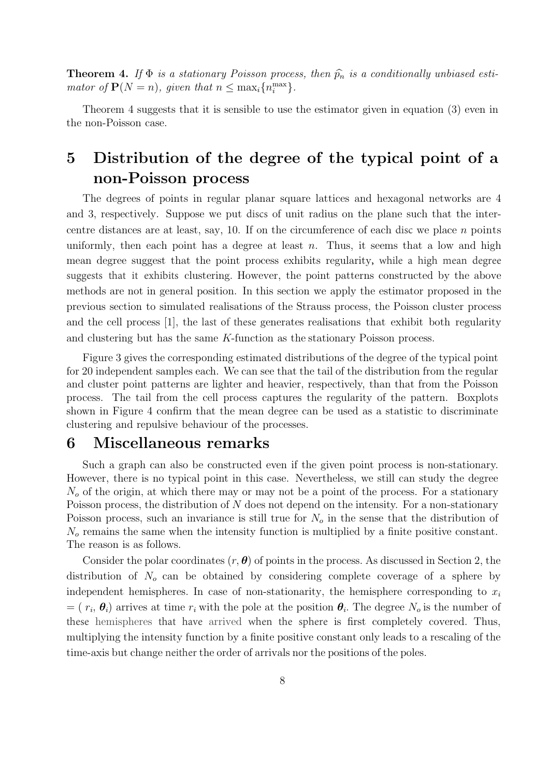**Theorem 4.** If  $\Phi$  *is a stationary Poisson process, then*  $\hat{p}_n$  *is a conditionally unbiased estimator of*  $P(N = n)$ *, given that*  $n \leq \max_i \{n_i^{\max}\}.$ 

Theorem 4 suggests that it is sensible to use the estimator given in equation (3) even in the non-Poisson case.

# **5 Distribution of the degree of the typical point of a non-Poisson process**

The degrees of points in regular planar square lattices and hexagonal networks are 4 and 3, respectively. Suppose we put discs of unit radius on the plane such that the intercentre distances are at least, say, 10. If on the circumference of each disc we place  $n$  points uniformly, then each point has a degree at least  $n$ . Thus, it seems that a low and high mean degree suggest that the point process exhibits regularity, while a high mean degree suggests that it exhibits clustering. However, the point patterns constructed by the above methods are not in general position. In this section we apply the estimator proposed in the previous section to simulated realisations of the Strauss process, the Poisson cluster process and the cell process [1], the last of these generates realisations that exhibit both regularity and clustering but has the same K-function as the stationary Poisson process.

Figure 3 gives the corresponding estimated distributions of the degree of the typical point for 20 independent samples each. We can see that the tail of the distribution from the regular and cluster point patterns are lighter and heavier, respectively, than that from the Poisson process. The tail from the cell process captures the regularity of the pattern. Boxplots shown in Figure 4 confirm that the mean degree can be used as a statistic to discriminate clustering and repulsive behaviour of the processes.

#### **6 Miscellaneous remarks**

Such a graph can also be constructed even if the given point process is non-stationary. However, there is no typical point in this case. Nevertheless, we still can study the degree  $N<sub>o</sub>$  of the origin, at which there may or may not be a point of the process. For a stationary Poisson process, the distribution of N does not depend on the intensity. For a non-stationary Poisson process, such an invariance is still true for  $N<sub>o</sub>$  in the sense that the distribution of  $N<sub>o</sub>$  remains the same when the intensity function is multiplied by a finite positive constant. The reason is as follows.

Consider the polar coordinates (r, *θ*) of points in the process. As discussed in Section 2, the distribution of  $N<sub>o</sub>$  can be obtained by considering complete coverage of a sphere by independent hemispheres. In case of non-stationarity, the hemisphere corresponding to  $x_i$  $=( r_i, \theta_i)$  arrives at time  $r_i$  with the pole at the position  $\theta_i$ . The degree  $N_o$  is the number of these hemispheres that have arrived when the sphere is first completely covered. Thus, multiplying the intensity function by a finite positive constant only leads to a rescaling of the time-axis but change neither the order of arrivals nor the positions of the poles.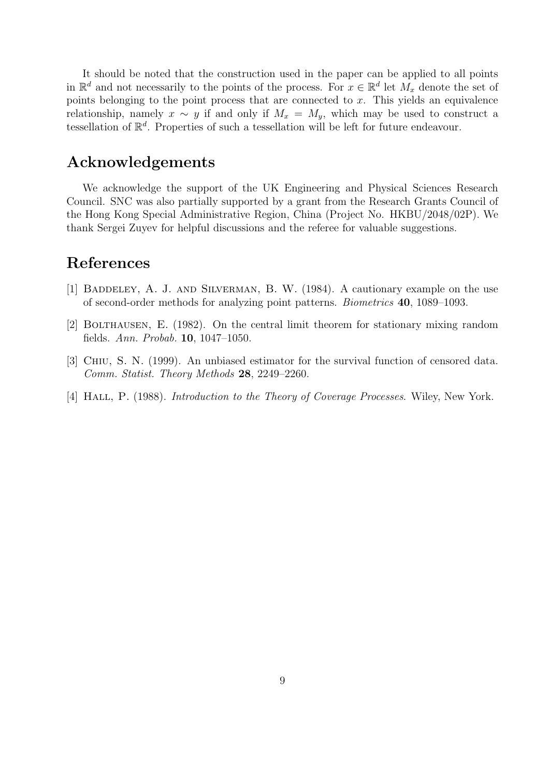It should be noted that the construction used in the paper can be applied to all points in  $\mathbb{R}^d$  and not necessarily to the points of the process. For  $x \in \mathbb{R}^d$  let  $M_x$  denote the set of points belonging to the point process that are connected to  $x$ . This yields an equivalence relationship, namely  $x \sim y$  if and only if  $M_x = M_y$ , which may be used to construct a tessellation of  $\mathbb{R}^d$ . Properties of such a tessellation will be left for future endeavour.

# **Acknowledgements**

We acknowledge the support of the UK Engineering and Physical Sciences Research Council. SNC was also partially supported by a grant from the Research Grants Council of the Hong Kong Special Administrative Region, China (Project No. HKBU/2048/02P). We thank Sergei Zuyev for helpful discussions and the referee for valuable suggestions.

# **References**

- [1] Baddeley, A. J. and Silverman, B. W. (1984). A cautionary example on the use of second-order methods for analyzing point patterns. *Biometrics* **40**, 1089–1093.
- [2] Bolthausen, E. (1982). On the central limit theorem for stationary mixing random fields. *Ann. Probab.* **10**, 1047–1050.
- [3] Chiu, S. N. (1999). An unbiased estimator for the survival function of censored data. *Comm. Statist. Theory Methods* **28**, 2249–2260.
- [4] Hall, P. (1988). *Introduction to the Theory of Coverage Processes*. Wiley, New York.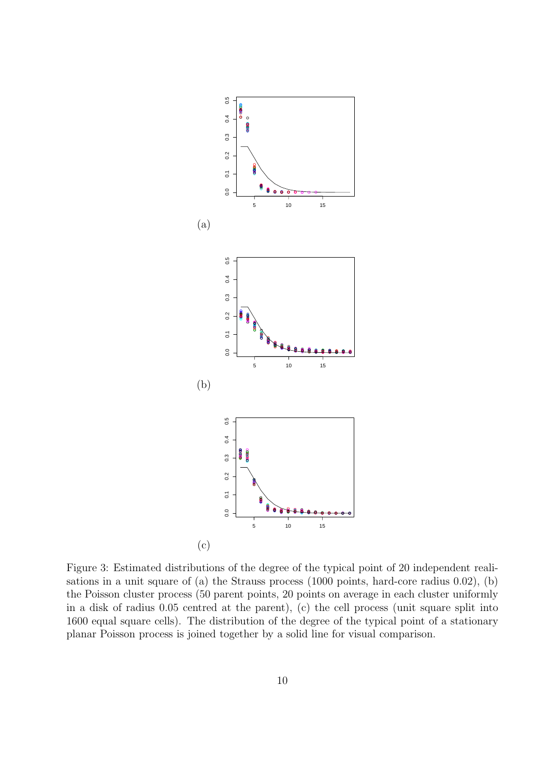

Figure 3: Estimated distributions of the degree of the typical point of 20 independent realisations in a unit square of (a) the Strauss process (1000 points, hard-core radius 0.02), (b) the Poisson cluster process (50 parent points, 20 points on average in each cluster uniformly in a disk of radius 0.05 centred at the parent), (c) the cell process (unit square split into 1600 equal square cells). The distribution of the degree of the typical point of a stationary planar Poisson process is joined together by a solid line for visual comparison.